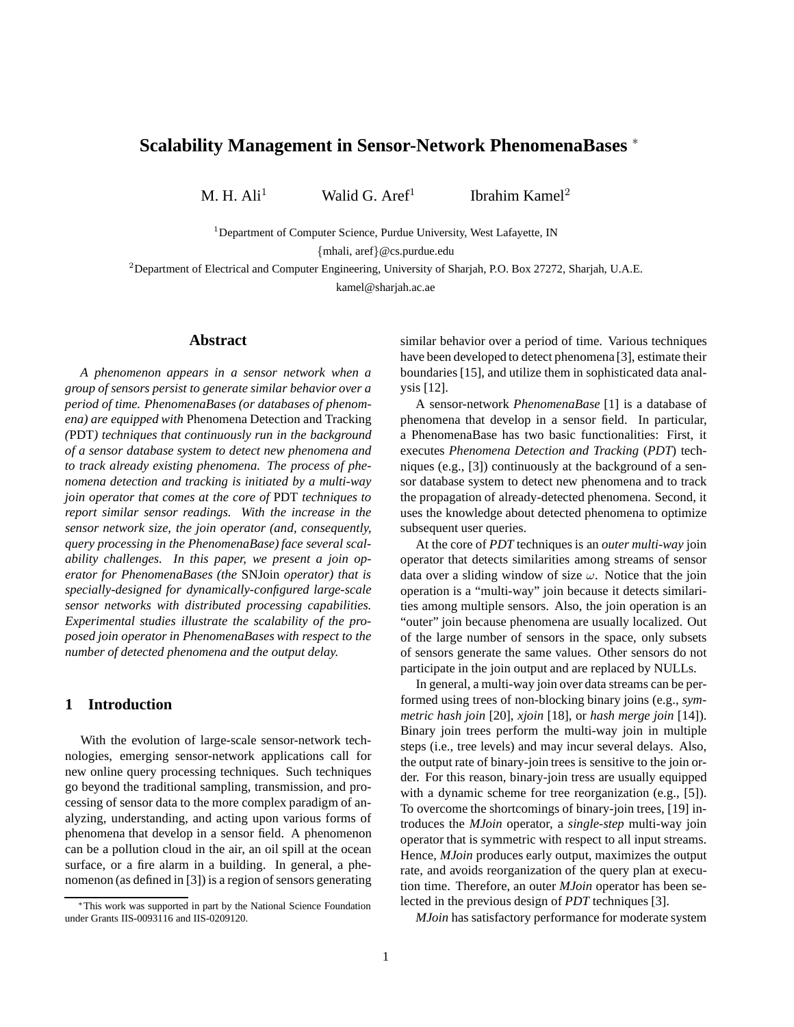# **Scalability Management in Sensor-Network PhenomenaBases** <sup>∗</sup>

M. H. Ali<sup>1</sup> Walid G. Aref<sup>1</sup>

Ibrahim Kamel $2$ 

<sup>1</sup>Department of Computer Science, Purdue University, West Lafayette, IN {mhali, aref}@cs.purdue.edu

<sup>2</sup>Department of Electrical and Computer Engineering, University of Sharjah, P.O. Box 27272, Sharjah, U.A.E.

kamel@sharjah.ac.ae

### **Abstract**

*A phenomenon appears in a sensor network when a group of sensors persist to generate similar behavior over a period of time. PhenomenaBases (or databases of phenomena) are equipped with* Phenomena Detection and Tracking *(*PDT*) techniques that continuously run in the background of a sensor database system to detect new phenomena and to track already existing phenomena. The process of phenomena detection and tracking is initiated by a multi-way join operator that comes at the core of* PDT *techniques to report similar sensor readings. With the increase in the sensor network size, the join operator (and, consequently, query processing in the PhenomenaBase) face several scalability challenges. In this paper, we present a join operator for PhenomenaBases (the* SNJoin *operator) that is specially-designed for dynamically-configured large-scale sensor networks with distributed processing capabilities. Experimental studies illustrate the scalability of the proposed join operator in PhenomenaBases with respect to the number of detected phenomena and the output delay.*

# **1 Introduction**

With the evolution of large-scale sensor-network technologies, emerging sensor-network applications call for new online query processing techniques. Such techniques go beyond the traditional sampling, transmission, and processing of sensor data to the more complex paradigm of analyzing, understanding, and acting upon various forms of phenomena that develop in a sensor field. A phenomenon can be a pollution cloud in the air, an oil spill at the ocean surface, or a fire alarm in a building. In general, a phenomenon (as defined in [3]) is a region of sensors generating

similar behavior over a period of time. Various techniques have been developed to detect phenomena [3], estimate their boundaries [15], and utilize them in sophisticated data analysis [12].

A sensor-network *PhenomenaBase* [1] is a database of phenomena that develop in a sensor field. In particular, a PhenomenaBase has two basic functionalities: First, it executes *Phenomena Detection and Tracking* (*PDT*) techniques (e.g., [3]) continuously at the background of a sensor database system to detect new phenomena and to track the propagation of already-detected phenomena. Second, it uses the knowledge about detected phenomena to optimize subsequent user queries.

At the core of *PDT* techniques is an *outer multi-way* join operator that detects similarities among streams of sensor data over a sliding window of size  $\omega$ . Notice that the join operation is a "multi-way" join because it detects similarities among multiple sensors. Also, the join operation is an "outer" join because phenomena are usually localized. Out of the large number of sensors in the space, only subsets of sensors generate the same values. Other sensors do not participate in the join output and are replaced by NULLs.

In general, a multi-way join over data streams can be performed using trees of non-blocking binary joins (e.g., *symmetric hash join* [20], *xjoin* [18], or *hash merge join* [14]). Binary join trees perform the multi-way join in multiple steps (i.e., tree levels) and may incur several delays. Also, the output rate of binary-join trees is sensitive to the join order. For this reason, binary-join tress are usually equipped with a dynamic scheme for tree reorganization (e.g., [5]). To overcome the shortcomings of binary-join trees, [19] introduces the *MJoin* operator, a *single-step* multi-way join operator that is symmetric with respect to all input streams. Hence, *MJoin* produces early output, maximizes the output rate, and avoids reorganization of the query plan at execution time. Therefore, an outer *MJoin* operator has been selected in the previous design of *PDT* techniques [3].

*MJoin* has satisfactory performance for moderate system

<sup>∗</sup>This work was supported in part by the National Science Foundation under Grants IIS-0093116 and IIS-0209120.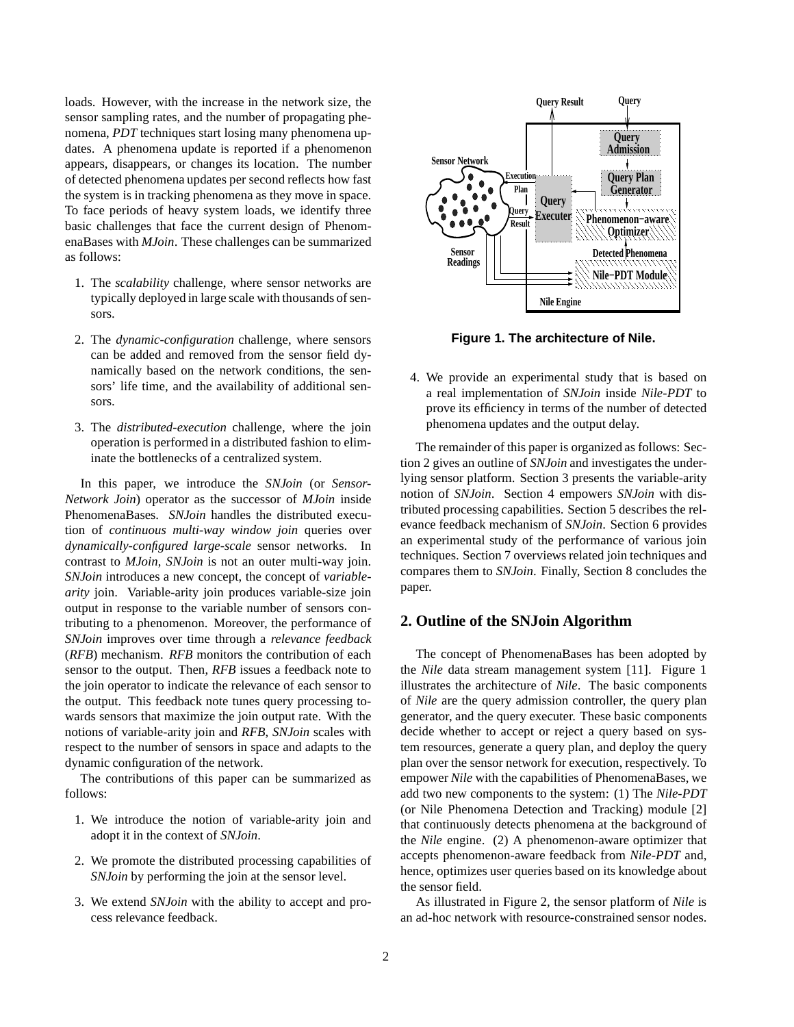loads. However, with the increase in the network size, the sensor sampling rates, and the number of propagating phenomena, *PDT* techniques start losing many phenomena updates. A phenomena update is reported if a phenomenon appears, disappears, or changes its location. The number of detected phenomena updates per second reflects how fast the system is in tracking phenomena as they move in space. To face periods of heavy system loads, we identify three basic challenges that face the current design of PhenomenaBases with *MJoin*. These challenges can be summarized as follows:

- 1. The *scalability* challenge, where sensor networks are typically deployed in large scale with thousands of sensors.
- 2. The *dynamic-configuration* challenge, where sensors can be added and removed from the sensor field dynamically based on the network conditions, the sensors' life time, and the availability of additional sensors.
- 3. The *distributed-execution* challenge, where the join operation is performed in a distributed fashion to eliminate the bottlenecks of a centralized system.

In this paper, we introduce the *SNJoin* (or *Sensor-Network Join*) operator as the successor of *MJoin* inside PhenomenaBases. *SNJoin* handles the distributed execution of *continuous multi-way window join* queries over *dynamically-configured large-scale* sensor networks. In contrast to *MJoin*, *SNJoin* is not an outer multi-way join. *SNJoin* introduces a new concept, the concept of *variablearity* join. Variable-arity join produces variable-size join output in response to the variable number of sensors contributing to a phenomenon. Moreover, the performance of *SNJoin* improves over time through a *relevance feedback* (*RFB*) mechanism. *RFB* monitors the contribution of each sensor to the output. Then, *RFB* issues a feedback note to the join operator to indicate the relevance of each sensor to the output. This feedback note tunes query processing towards sensors that maximize the join output rate. With the notions of variable-arity join and *RFB*, *SNJoin* scales with respect to the number of sensors in space and adapts to the dynamic configuration of the network.

The contributions of this paper can be summarized as follows:

- 1. We introduce the notion of variable-arity join and adopt it in the context of *SNJoin*.
- 2. We promote the distributed processing capabilities of *SNJoin* by performing the join at the sensor level.
- 3. We extend *SNJoin* with the ability to accept and process relevance feedback.



**Figure 1. The architecture of Nile.**

4. We provide an experimental study that is based on a real implementation of *SNJoin* inside *Nile-PDT* to prove its efficiency in terms of the number of detected phenomena updates and the output delay.

The remainder of this paper is organized as follows: Section 2 gives an outline of *SNJoin* and investigates the underlying sensor platform. Section 3 presents the variable-arity notion of *SNJoin*. Section 4 empowers *SNJoin* with distributed processing capabilities. Section 5 describes the relevance feedback mechanism of *SNJoin*. Section 6 provides an experimental study of the performance of various join techniques. Section 7 overviews related join techniques and compares them to *SNJoin*. Finally, Section 8 concludes the paper.

# **2. Outline of the SNJoin Algorithm**

The concept of PhenomenaBases has been adopted by the *Nile* data stream management system [11]. Figure 1 illustrates the architecture of *Nile*. The basic components of *Nile* are the query admission controller, the query plan generator, and the query executer. These basic components decide whether to accept or reject a query based on system resources, generate a query plan, and deploy the query plan over the sensor network for execution, respectively. To empower *Nile* with the capabilities of PhenomenaBases, we add two new components to the system: (1) The *Nile-PDT* (or Nile Phenomena Detection and Tracking) module [2] that continuously detects phenomena at the background of the *Nile* engine. (2) A phenomenon-aware optimizer that accepts phenomenon-aware feedback from *Nile-PDT* and, hence, optimizes user queries based on its knowledge about the sensor field.

As illustrated in Figure 2, the sensor platform of *Nile* is an ad-hoc network with resource-constrained sensor nodes.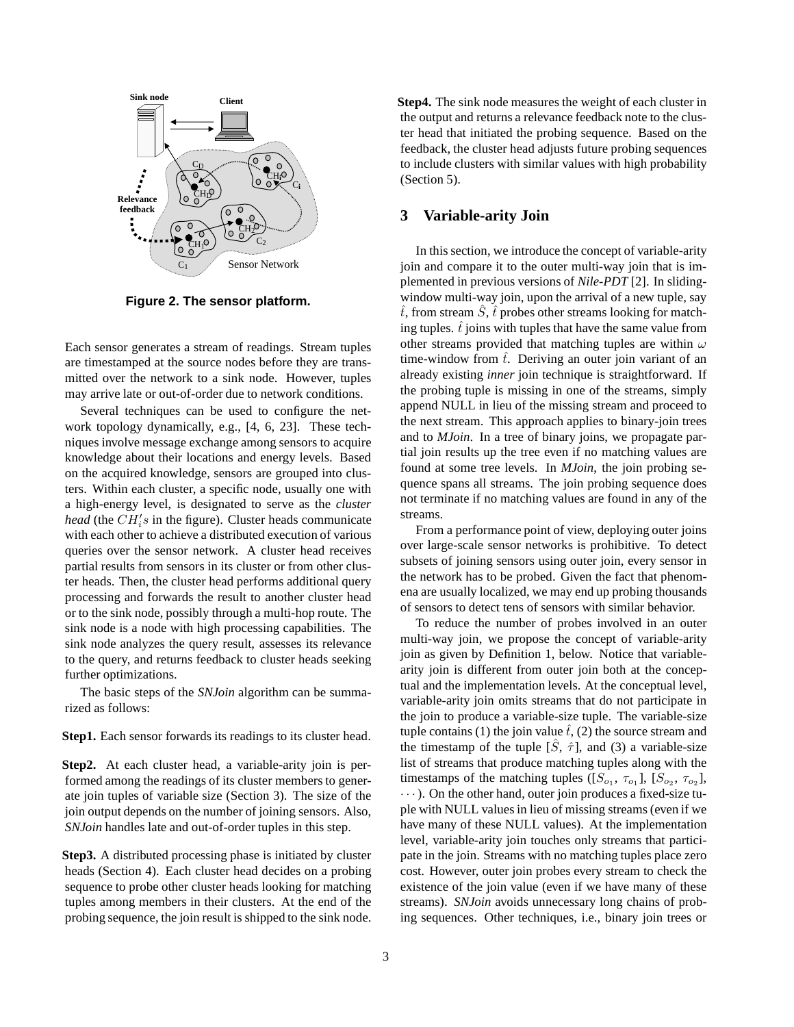

**Figure 2. The sensor platform.**

Each sensor generates a stream of readings. Stream tuples are timestamped at the source nodes before they are transmitted over the network to a sink node. However, tuples may arrive late or out-of-order due to network conditions.

Several techniques can be used to configure the network topology dynamically, e.g., [4, 6, 23]. These techniques involve message exchange among sensors to acquire knowledge about their locations and energy levels. Based on the acquired knowledge, sensors are grouped into clusters. Within each cluster, a specific node, usually one with a high-energy level, is designated to serve as the *cluster head* (the  $CH_i's$  in the figure). Cluster heads communicate with each other to achieve a distributed execution of various queries over the sensor network. A cluster head receives partial results from sensors in its cluster or from other cluster heads. Then, the cluster head performs additional query processing and forwards the result to another cluster head or to the sink node, possibly through a multi-hop route. The sink node is a node with high processing capabilities. The sink node analyzes the query result, assesses its relevance to the query, and returns feedback to cluster heads seeking further optimizations.

The basic steps of the *SNJoin* algorithm can be summarized as follows:

**Step1.** Each sensor forwards its readings to its cluster head.

**Step2.** At each cluster head, a variable-arity join is performed among the readings of its cluster members to generate join tuples of variable size (Section 3). The size of the join output depends on the number of joining sensors. Also, *SNJoin* handles late and out-of-order tuples in this step.

**Step3.** A distributed processing phase is initiated by cluster heads (Section 4). Each cluster head decides on a probing sequence to probe other cluster heads looking for matching tuples among members in their clusters. At the end of the probing sequence, the join result is shipped to the sink node.

**Step4.** The sink node measures the weight of each cluster in the output and returns a relevance feedback note to the cluster head that initiated the probing sequence. Based on the feedback, the cluster head adjusts future probing sequences to include clusters with similar values with high probability (Section 5).

# **3 Variable-arity Join**

In this section, we introduce the concept of variable-arity join and compare it to the outer multi-way join that is implemented in previous versions of *Nile-PDT* [2]. In slidingwindow multi-way join, upon the arrival of a new tuple, say  $\hat{t}$ , from stream  $\hat{S}$ ,  $\hat{t}$  probes other streams looking for matching tuples.  $\hat{t}$  joins with tuples that have the same value from other streams provided that matching tuples are within  $\omega$ time-window from  $\hat{t}$ . Deriving an outer join variant of an already existing *inner* join technique is straightforward. If the probing tuple is missing in one of the streams, simply append NULL in lieu of the missing stream and proceed to the next stream. This approach applies to binary-join trees and to *MJoin*. In a tree of binary joins, we propagate partial join results up the tree even if no matching values are found at some tree levels. In *MJoin*, the join probing sequence spans all streams. The join probing sequence does not terminate if no matching values are found in any of the streams.

From a performance point of view, deploying outer joins over large-scale sensor networks is prohibitive. To detect subsets of joining sensors using outer join, every sensor in the network has to be probed. Given the fact that phenomena are usually localized, we may end up probing thousands of sensors to detect tens of sensors with similar behavior.

To reduce the number of probes involved in an outer multi-way join, we propose the concept of variable-arity join as given by Definition 1, below. Notice that variablearity join is different from outer join both at the conceptual and the implementation levels. At the conceptual level, variable-arity join omits streams that do not participate in the join to produce a variable-size tuple. The variable-size tuple contains (1) the join value  $\hat{t}$ , (2) the source stream and the timestamp of the tuple  $[\hat{S}, \hat{\tau}]$ , and (3) a variable-size list of streams that produce matching tuples along with the timestamps of the matching tuples ([ $S_{o_1}$ ,  $\tau_{o_1}$ ], [ $S_{o_2}$ ,  $\tau_{o_2}$ ],  $\cdots$ ). On the other hand, outer join produces a fixed-size tuple with NULL values in lieu of missing streams (even if we have many of these NULL values). At the implementation level, variable-arity join touches only streams that participate in the join. Streams with no matching tuples place zero cost. However, outer join probes every stream to check the existence of the join value (even if we have many of these streams). *SNJoin* avoids unnecessary long chains of probing sequences. Other techniques, i.e., binary join trees or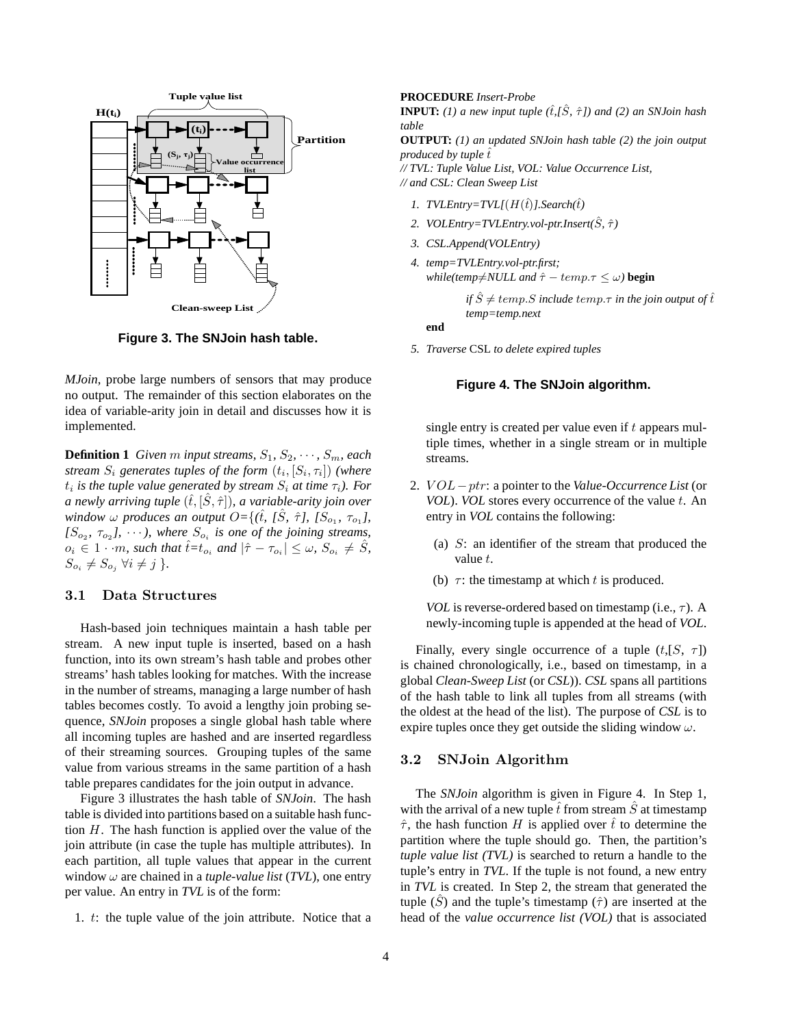

**Figure 3. The SNJoin hash table.**

*MJoin*, probe large numbers of sensors that may produce no output. The remainder of this section elaborates on the idea of variable-arity join in detail and discusses how it is implemented.

**Definition 1** *Given* m *input streams,*  $S_1$ ,  $S_2$ ,  $\cdots$ ,  $S_m$ , each  $stream S_i$  generates tuples of the form  $(t_i, [S_i, \tau_i])$  (where  $t_i$  *is the tuple value generated by stream*  $S_i$  *at time*  $\tau_i$ *). For a newly arriving tuple*  $(\hat{t}, [\hat{S}, \hat{\tau}])$ *, a variable-arity join over window*  $\omega$  *produces an output*  $O = \{(\hat{t}, \hat{S}, \hat{\tau})\}$ ,  $[S_{o_1}, \tau_{o_1}]\}$ ,  $[S_{o_2}, \tau_{o_2}]$ ,  $\cdots$ , where  $S_{o_i}$  is one of the joining streams,  $o_i \in 1 \cdot m$ *, such that*  $\hat{t} = t_{o_i}$  *and*  $|\hat{\tau} - \tau_{o_i}| \leq \omega$ *,*  $S_{o_i} \neq \hat{S}$ *,*  $S_{o_i} \neq S_{o_j} \ \forall i \neq j$  }.

### 3.1 Data Structures

Hash-based join techniques maintain a hash table per stream. A new input tuple is inserted, based on a hash function, into its own stream's hash table and probes other streams' hash tables looking for matches. With the increase in the number of streams, managing a large number of hash tables becomes costly. To avoid a lengthy join probing sequence, *SNJoin* proposes a single global hash table where all incoming tuples are hashed and are inserted regardless of their streaming sources. Grouping tuples of the same value from various streams in the same partition of a hash table prepares candidates for the join output in advance.

Figure 3 illustrates the hash table of *SNJoin*. The hash table is divided into partitions based on a suitable hash function  $H$ . The hash function is applied over the value of the join attribute (in case the tuple has multiple attributes). In each partition, all tuple values that appear in the current window  $\omega$  are chained in a *tuple-value list* (*TVL*), one entry per value. An entry in *TVL* is of the form:

1. t: the tuple value of the join attribute. Notice that a

#### **PROCEDURE** *Insert-Probe*

**INPUT:** (1) a new input tuple  $(\hat{t}, [\hat{S}, \hat{\tau}])$  and (2) an SNJoin hash *table*

**OUTPUT:** *(1) an updated SNJoin hash table (2) the join output produced by tuple*  $\hat{t}$ 

*// TVL: Tuple Value List, VOL: Value Occurrence List, // and CSL: Clean Sweep List*

- *1. TVLEntry=TVL[*( $H(\hat{t})$ *].Search* $(\hat{t})$
- 2. *VOLEntry=TVLEntry.vol-ptr.Insert(* $\hat{S}, \hat{\tau}$ *)*
- *3. CSL.Append(VOLEntry)*
- *4. temp=TVLEntry.vol-ptr.first; while(temp* $\neq$ *NULL and*  $\hat{\tau}$  – temp. $\tau \leq \omega$ ) **begin**

*if*  $\hat{S} \neq temp.S$  *include*  $temp.\tau$  *in the join output of*  $\hat{t}$ *temp=temp.next*

### **end**

*5. Traverse* CSL *to delete expired tuples*

### **Figure 4. The SNJoin algorithm.**

single entry is created per value even if  $t$  appears multiple times, whether in a single stream or in multiple streams.

- 2. *VOL* − *ptr*: a pointer to the *Value-Occurrence List* (or *VOL*). *VOL* stores every occurrence of the value t. An entry in *VOL* contains the following:
	- (a) S: an identifier of the stream that produced the value t.
	- (b)  $\tau$ : the timestamp at which t is produced.

*VOL* is reverse-ordered based on timestamp (i.e.,  $\tau$ ). A newly-incoming tuple is appended at the head of *VOL*.

Finally, every single occurrence of a tuple  $(t, [S, \tau])$ is chained chronologically, i.e., based on timestamp, in a global *Clean-Sweep List* (or *CSL*)). *CSL* spans all partitions of the hash table to link all tuples from all streams (with the oldest at the head of the list). The purpose of *CSL* is to expire tuples once they get outside the sliding window  $\omega$ .

### 3.2 SNJoin Algorithm

The *SNJoin* algorithm is given in Figure 4. In Step 1, with the arrival of a new tuple  $\hat{t}$  from stream  $\hat{S}$  at timestamp  $\hat{\tau}$ , the hash function H is applied over  $\hat{t}$  to determine the partition where the tuple should go. Then, the partition's *tuple value list (TVL)* is searched to return a handle to the tuple's entry in *TVL*. If the tuple is not found, a new entry in *TVL* is created. In Step 2, the stream that generated the tuple (S) and the tuple's timestamp ( $\hat{\tau}$ ) are inserted at the head of the *value occurrence list (VOL)* that is associated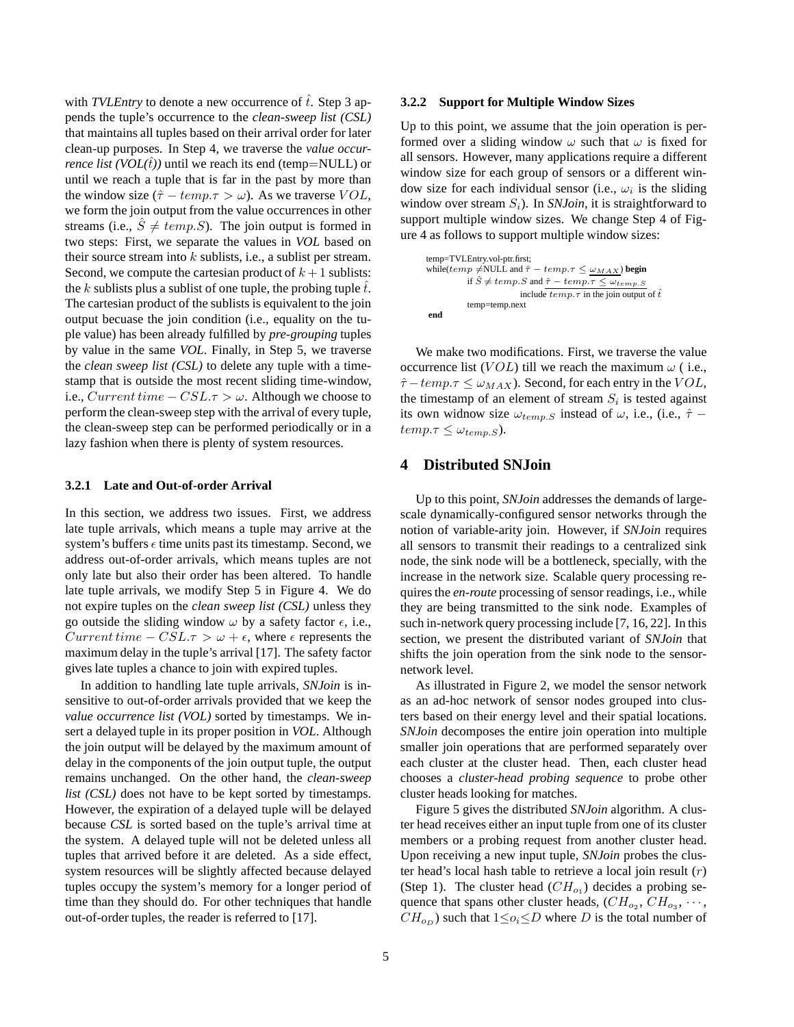with *TVLEntry* to denote a new occurrence of  $\hat{t}$ . Step 3 appends the tuple's occurrence to the *clean-sweep list (CSL)* that maintains all tuples based on their arrival order for later clean-up purposes. In Step 4, we traverse the *value occurrence list (VOL(t)*) until we reach its end (temp=NULL) or until we reach a tuple that is far in the past by more than the window size ( $\hat{\tau} - temp.\tau > \omega$ ). As we traverse VOL, we form the join output from the value occurrences in other streams (i.e.,  $\ddot{S} \neq temp.S$ ). The join output is formed in two steps: First, we separate the values in *VOL* based on their source stream into  $k$  sublists, i.e., a sublist per stream. Second, we compute the cartesian product of  $k+1$  sublists: the k sublists plus a sublist of one tuple, the probing tuple  $\hat{t}$ . The cartesian product of the sublists is equivalent to the join output becuase the join condition (i.e., equality on the tuple value) has been already fulfilled by *pre-grouping* tuples by value in the same *VOL*. Finally, in Step 5, we traverse the *clean sweep list (CSL)* to delete any tuple with a timestamp that is outside the most recent sliding time-window, i.e., Current time  $-CSL.\tau > \omega$ . Although we choose to perform the clean-sweep step with the arrival of every tuple, the clean-sweep step can be performed periodically or in a lazy fashion when there is plenty of system resources.

#### **3.2.1 Late and Out-of-order Arrival**

In this section, we address two issues. First, we address late tuple arrivals, which means a tuple may arrive at the system's buffers  $\epsilon$  time units past its timestamp. Second, we address out-of-order arrivals, which means tuples are not only late but also their order has been altered. To handle late tuple arrivals, we modify Step 5 in Figure 4. We do not expire tuples on the *clean sweep list (CSL)* unless they go outside the sliding window  $\omega$  by a safety factor  $\epsilon$ , i.e., *Current time – CSL*. $\tau > \omega + \epsilon$ , where  $\epsilon$  represents the maximum delay in the tuple's arrival [17]. The safety factor gives late tuples a chance to join with expired tuples.

In addition to handling late tuple arrivals, *SNJoin* is insensitive to out-of-order arrivals provided that we keep the *value occurrence list (VOL)* sorted by timestamps. We insert a delayed tuple in its proper position in *VOL*. Although the join output will be delayed by the maximum amount of delay in the components of the join output tuple, the output remains unchanged. On the other hand, the *clean-sweep list (CSL)* does not have to be kept sorted by timestamps. However, the expiration of a delayed tuple will be delayed because *CSL* is sorted based on the tuple's arrival time at the system. A delayed tuple will not be deleted unless all tuples that arrived before it are deleted. As a side effect, system resources will be slightly affected because delayed tuples occupy the system's memory for a longer period of time than they should do. For other techniques that handle out-of-order tuples, the reader is referred to [17].

#### **3.2.2 Support for Multiple Window Sizes**

Up to this point, we assume that the join operation is performed over a sliding window  $\omega$  such that  $\omega$  is fixed for all sensors. However, many applications require a different window size for each group of sensors or a different window size for each individual sensor (i.e.,  $\omega_i$  is the sliding window over stream  $S_i$ ). In *SNJoin*, it is straightforward to support multiple window sizes. We change Step 4 of Figure 4 as follows to support multiple window sizes:

```
temp=TVLEntry.vol-ptr.first;
while(temp \neqNULL and \hat{\tau} – temp.\tau \leq \omega_{MAX}) begin
             if \hat{S} \neq temp.S and \hat{\tau} - temp.\overline{\tau} \leq \omega_{temp.S}include temp.\tau in the join output of \hat{t}temp=temp.next
end
```
We make two modifications. First, we traverse the value occurrence list (VOL) till we reach the maximum  $\omega$  (i.e.,  $\hat{\tau}-temp.\tau \leq \omega_{MAX}$ ). Second, for each entry in the VOL, the timestamp of an element of stream  $S_i$  is tested against its own widnow size  $\omega_{temp,S}$  instead of  $\omega$ , i.e., (i.e.,  $\hat{\tau}$  –  $temp.\tau \leq \omega_{temp.S}$ ).

# **4 Distributed SNJoin**

Up to this point, *SNJoin* addresses the demands of largescale dynamically-configured sensor networks through the notion of variable-arity join. However, if *SNJoin* requires all sensors to transmit their readings to a centralized sink node, the sink node will be a bottleneck, specially, with the increase in the network size. Scalable query processing requires the *en-route* processing of sensor readings, i.e., while they are being transmitted to the sink node. Examples of such in-network query processing include [7, 16, 22]. In this section, we present the distributed variant of *SNJoin* that shifts the join operation from the sink node to the sensornetwork level.

As illustrated in Figure 2, we model the sensor network as an ad-hoc network of sensor nodes grouped into clusters based on their energy level and their spatial locations. *SNJoin* decomposes the entire join operation into multiple smaller join operations that are performed separately over each cluster at the cluster head. Then, each cluster head chooses a *cluster-head probing sequence* to probe other cluster heads looking for matches.

Figure 5 gives the distributed *SNJoin* algorithm. A cluster head receives either an input tuple from one of its cluster members or a probing request from another cluster head. Upon receiving a new input tuple, *SNJoin* probes the cluster head's local hash table to retrieve a local join result  $(r)$ (Step 1). The cluster head  $(CH_{o_1})$  decides a probing sequence that spans other cluster heads,  $(CH_{o_2}, CH_{o_3}, \cdots,$  $CH_{op}$ ) such that  $1 \leq o_i \leq D$  where D is the total number of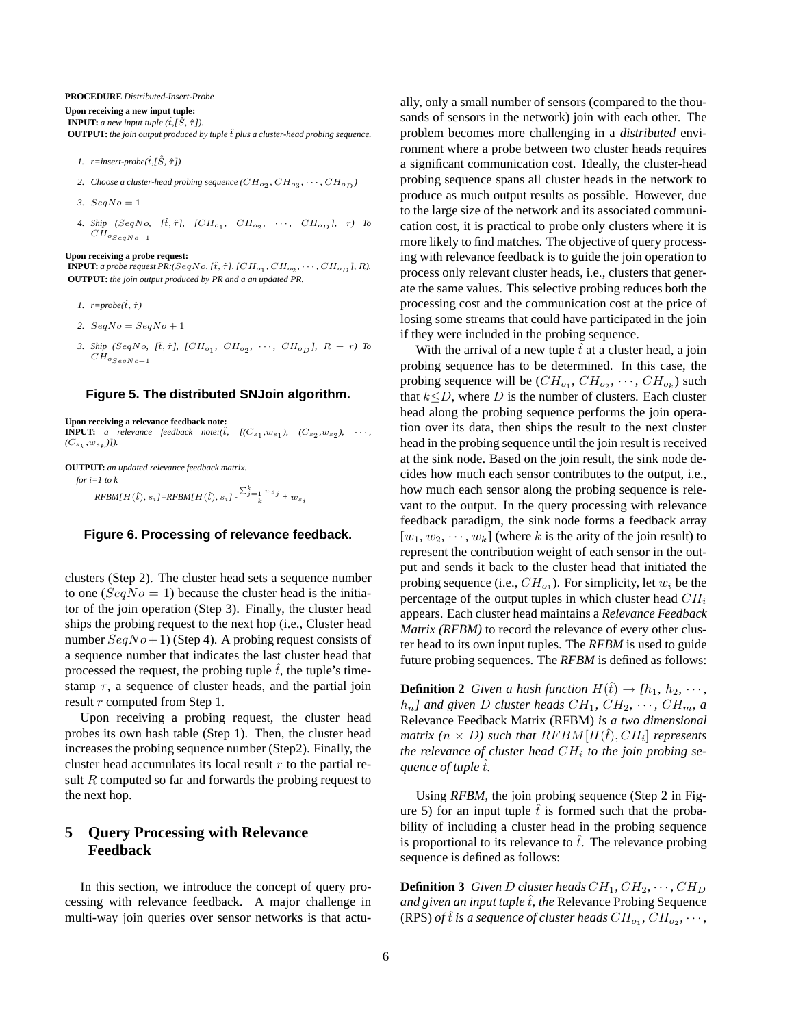#### **PROCEDURE** *Distributed-Insert-Probe*

**Upon receiving a new input tuple:**

**INPUT:** *a new input tuple*  $(\hat{t}, \hat{S}, \hat{\tau})$ *).* **OUTPUT:** *the join output produced by tuple*  $\hat{t}$  *plus a cluster-head probing sequence.* 

- *1.*  $r =$ *insert-probe* $(\hat{t}, \hat{S}, \hat{\tau})$
- 2. Choose a cluster-head probing sequence  $(CH_{o_2},CH_{o_3},\cdots,CH_{o_D})$
- 3.  $SeqNo=1$
- *4.*  $\sin p$  ( $\text{Seq}No$ ,  $[\hat{t}, \hat{\tau}]$ ,  $[CH_{o_1}, CH_{o_2}, \cdots, CH_{o_D}], r)$  To  $CH_{{}^oSeqNo+1}$

**Upon receiving a probe request:**

**INPUT:** a probe request PR:( $SeqNo$ , [ $\hat{t}$ ,  $\hat{\tau}$ ], [ $CH_{o_1}$ ,  $CH_{o_2}$ ,  $\cdots$ ,  $CH_{o_D}$ ], R). **OUTPUT:** *the join output produced by PR and a an updated PR.*

- *1.*  $r = probe(\hat{t}, \hat{\tau})$
- 2.  $SeqNo = SeqNo + 1$
- *3. Ship (SeqNo, [t,*  $\hat{\tau}$ *], [CH<sub>o1</sub>, CH<sub>o2</sub>,*  $\cdots$ *, CH<sub>o<sub>D</sub></sub>], R + r) To*  $\boldsymbol{C}\boldsymbol{H}_{o_{SeqNo+1}}$

### **Figure 5. The distributed SNJoin algorithm.**

#### **Upon receiving a relevance feedback note:**

**INPUT:** a relevance feedback note: $(\hat{t}, \{ (C_{s_1}, w_{s_1}), (C_{s_2}, w_{s_2}), \cdots, (C_{s_k}, w_{s_k}) \})$  $(C_{s_k}, w_{s_k})]$ ).

**OUTPUT:** *an updated relevance feedback matrix.*

*for i=1 to k*  $\textit{RFBM}[H(\hat{t}), s_i] = \textit{RFBM}[H(\hat{t}), s_i] \cdot \frac{\sum_{j=1}^k w_{s_j}}{k} + w_{s_i}$ 

### **Figure 6. Processing of relevance feedback.**

clusters (Step 2). The cluster head sets a sequence number to one ( $SeqNo = 1$ ) because the cluster head is the initiator of the join operation (Step 3). Finally, the cluster head ships the probing request to the next hop (i.e., Cluster head number  $SeqNo+1$ ) (Step 4). A probing request consists of a sequence number that indicates the last cluster head that processed the request, the probing tuple  $\hat{t}$ , the tuple's timestamp  $\tau$ , a sequence of cluster heads, and the partial join result r computed from Step 1.

Upon receiving a probing request, the cluster head probes its own hash table (Step 1). Then, the cluster head increases the probing sequence number (Step2). Finally, the cluster head accumulates its local result  $r$  to the partial result R computed so far and forwards the probing request to the next hop.

# **5 Query Processing with Relevance Feedback**

In this section, we introduce the concept of query processing with relevance feedback. A major challenge in multi-way join queries over sensor networks is that actually, only a small number of sensors (compared to the thousands of sensors in the network) join with each other. The problem becomes more challenging in a *distributed* environment where a probe between two cluster heads requires a significant communication cost. Ideally, the cluster-head probing sequence spans all cluster heads in the network to produce as much output results as possible. However, due to the large size of the network and its associated communication cost, it is practical to probe only clusters where it is more likely to find matches. The objective of query processing with relevance feedback is to guide the join operation to process only relevant cluster heads, i.e., clusters that generate the same values. This selective probing reduces both the processing cost and the communication cost at the price of losing some streams that could have participated in the join if they were included in the probing sequence.

With the arrival of a new tuple  $\hat{t}$  at a cluster head, a join probing sequence has to be determined. In this case, the probing sequence will be  $(CH_{o_1}, CH_{o_2}, \cdots, CH_{o_k})$  such that  $k \le D$ , where D is the number of clusters. Each cluster head along the probing sequence performs the join operation over its data, then ships the result to the next cluster head in the probing sequence until the join result is received at the sink node. Based on the join result, the sink node decides how much each sensor contributes to the output, i.e., how much each sensor along the probing sequence is relevant to the output. In the query processing with relevance feedback paradigm, the sink node forms a feedback array  $[w_1, w_2, \dots, w_k]$  (where k is the arity of the join result) to represent the contribution weight of each sensor in the output and sends it back to the cluster head that initiated the probing sequence (i.e.,  $CH_{o_1}$ ). For simplicity, let  $w_i$  be the percentage of the output tuples in which cluster head  $CH<sub>i</sub>$ appears. Each cluster head maintains a *Relevance Feedback Matrix (RFBM)* to record the relevance of every other cluster head to its own input tuples. The *RFBM* is used to guide future probing sequences. The *RFBM* is defined as follows:

**Definition 2** *Given a hash function*  $H(\hat{t}) \rightarrow [h_1, h_2, \cdots, h_n]$  $h_n$ *] and given D cluster heads*  $CH_1$ *,*  $CH_2$ *<i>,*  $\cdots$ *,*  $CH_m$ *, a* Relevance Feedback Matrix (RFBM) *is a two dimensional matrix* ( $n \times D$ ) such that  $RFBM[H(\hat{t}), CH_i]$  represents *the relevance of cluster head* CH<sup>i</sup> *to the join probing se-<u>duence</u>* of tuple *t*.

Using *RFBM*, the join probing sequence (Step 2 in Figure 5) for an input tuple  $\hat{t}$  is formed such that the probability of including a cluster head in the probing sequence is proportional to its relevance to  $\hat{t}$ . The relevance probing sequence is defined as follows:

**Definition 3** Given D cluster heads  $CH_1$ ,  $CH_2$ ,  $\cdots$ ,  $CH_D$ *and given an input tuple* t<sup> $i$ </sup>, the Relevance Probing Sequence (RPS) *of*  $\hat{t}$  *is a sequence of cluster heads*  $CH_{o_1}, CH_{o_2}, \cdots$ ,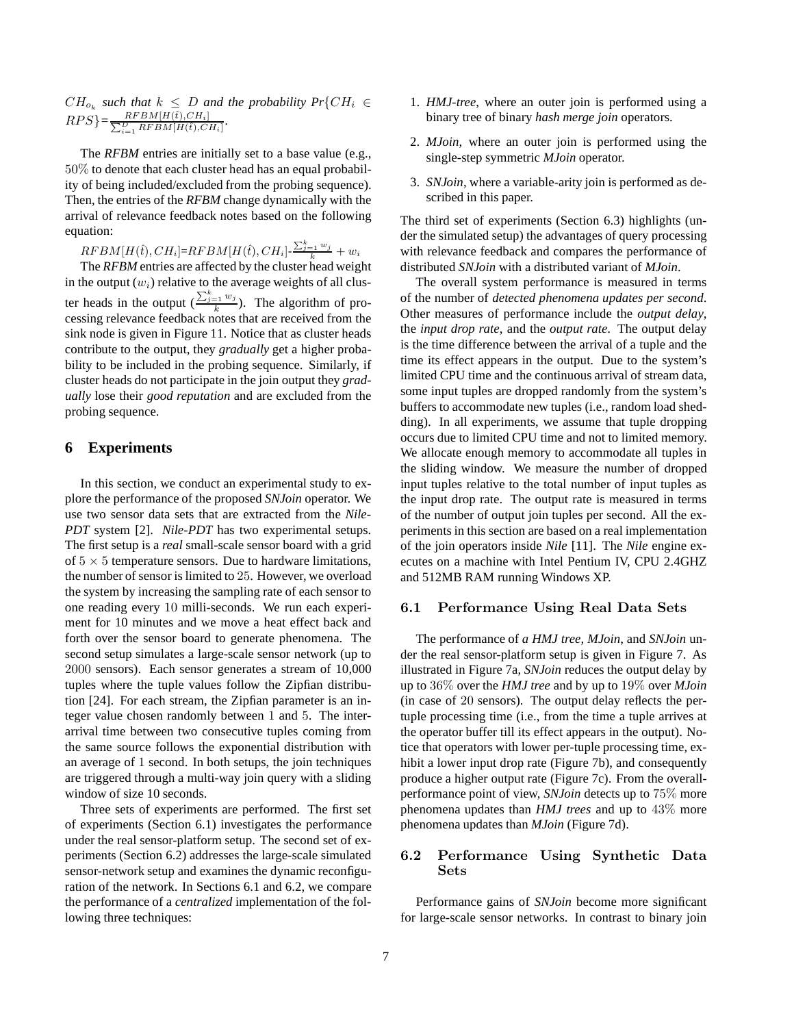$CH_{o_k}$  such that  $k \leq D$  and the probability  $Pr{CH_i \in E}$  $RPS$ } =  $\frac{RFBM[H(\hat{t}),CH_i]}{\sum_{i=1}^{D}RFBM[H(\hat{t}),CH_i]}$ .

The *RFBM* entries are initially set to a base value (e.g., 50% to denote that each cluster head has an equal probability of being included/excluded from the probing sequence). Then, the entries of the *RFBM* change dynamically with the arrival of relevance feedback notes based on the following equation:

 $RFBM[H(\hat{t}), CH_i]=RFBM[H(\hat{t}), CH_i]-\frac{\sum_{j=1}^k w_j}{k}+w_i$ 

The *RFBM* entries are affected by the cluster head weight in the output  $(w_i)$  relative to the average weights of all cluster heads in the output  $(\frac{\sum_{j=1}^{k} w_j}{k})$ . The algorithm of processing relevance feedback notes that are received from the sink node is given in Figure 11. Notice that as cluster heads contribute to the output, they *gradually* get a higher probability to be included in the probing sequence. Similarly, if cluster heads do not participate in the join output they *gradually* lose their *good reputation* and are excluded from the probing sequence.

# **6 Experiments**

In this section, we conduct an experimental study to explore the performance of the proposed *SNJoin* operator. We use two sensor data sets that are extracted from the *Nile-PDT* system [2]. *Nile-PDT* has two experimental setups. The first setup is a *real* small-scale sensor board with a grid of  $5 \times 5$  temperature sensors. Due to hardware limitations, the number of sensor is limited to 25. However, we overload the system by increasing the sampling rate of each sensor to one reading every 10 milli-seconds. We run each experiment for 10 minutes and we move a heat effect back and forth over the sensor board to generate phenomena. The second setup simulates a large-scale sensor network (up to 2000 sensors). Each sensor generates a stream of 10,000 tuples where the tuple values follow the Zipfian distribution [24]. For each stream, the Zipfian parameter is an integer value chosen randomly between 1 and 5. The interarrival time between two consecutive tuples coming from the same source follows the exponential distribution with an average of 1 second. In both setups, the join techniques are triggered through a multi-way join query with a sliding window of size 10 seconds.

Three sets of experiments are performed. The first set of experiments (Section 6.1) investigates the performance under the real sensor-platform setup. The second set of experiments (Section 6.2) addresses the large-scale simulated sensor-network setup and examines the dynamic reconfiguration of the network. In Sections 6.1 and 6.2, we compare the performance of a *centralized* implementation of the following three techniques:

- 1. *HMJ-tree*, where an outer join is performed using a binary tree of binary *hash merge join* operators.
- 2. *MJoin*, where an outer join is performed using the single-step symmetric *MJoin* operator.
- 3. *SNJoin*, where a variable-arity join is performed as described in this paper.

The third set of experiments (Section 6.3) highlights (under the simulated setup) the advantages of query processing with relevance feedback and compares the performance of distributed *SNJoin* with a distributed variant of *MJoin*.

The overall system performance is measured in terms of the number of *detected phenomena updates per second*. Other measures of performance include the *output delay*, the *input drop rate*, and the *output rate*. The output delay is the time difference between the arrival of a tuple and the time its effect appears in the output. Due to the system's limited CPU time and the continuous arrival of stream data, some input tuples are dropped randomly from the system's buffers to accommodate new tuples (i.e., random load shedding). In all experiments, we assume that tuple dropping occurs due to limited CPU time and not to limited memory. We allocate enough memory to accommodate all tuples in the sliding window. We measure the number of dropped input tuples relative to the total number of input tuples as the input drop rate. The output rate is measured in terms of the number of output join tuples per second. All the experiments in this section are based on a real implementation of the join operators inside *Nile* [11]. The *Nile* engine executes on a machine with Intel Pentium IV, CPU 2.4GHZ and 512MB RAM running Windows XP.

### 6.1 Performance Using Real Data Sets

The performance of *a HMJ tree*, *MJoin*, and *SNJoin* under the real sensor-platform setup is given in Figure 7. As illustrated in Figure 7a, *SNJoin* reduces the output delay by up to 36% over the *HMJ tree* and by up to 19% over *MJoin* (in case of 20 sensors). The output delay reflects the pertuple processing time (i.e., from the time a tuple arrives at the operator buffer till its effect appears in the output). Notice that operators with lower per-tuple processing time, exhibit a lower input drop rate (Figure 7b), and consequently produce a higher output rate (Figure 7c). From the overallperformance point of view, *SNJoin* detects up to 75% more phenomena updates than *HMJ trees* and up to 43% more phenomena updates than *MJoin* (Figure 7d).

# 6.2 Performance Using Synthetic Data Sets

Performance gains of *SNJoin* become more significant for large-scale sensor networks. In contrast to binary join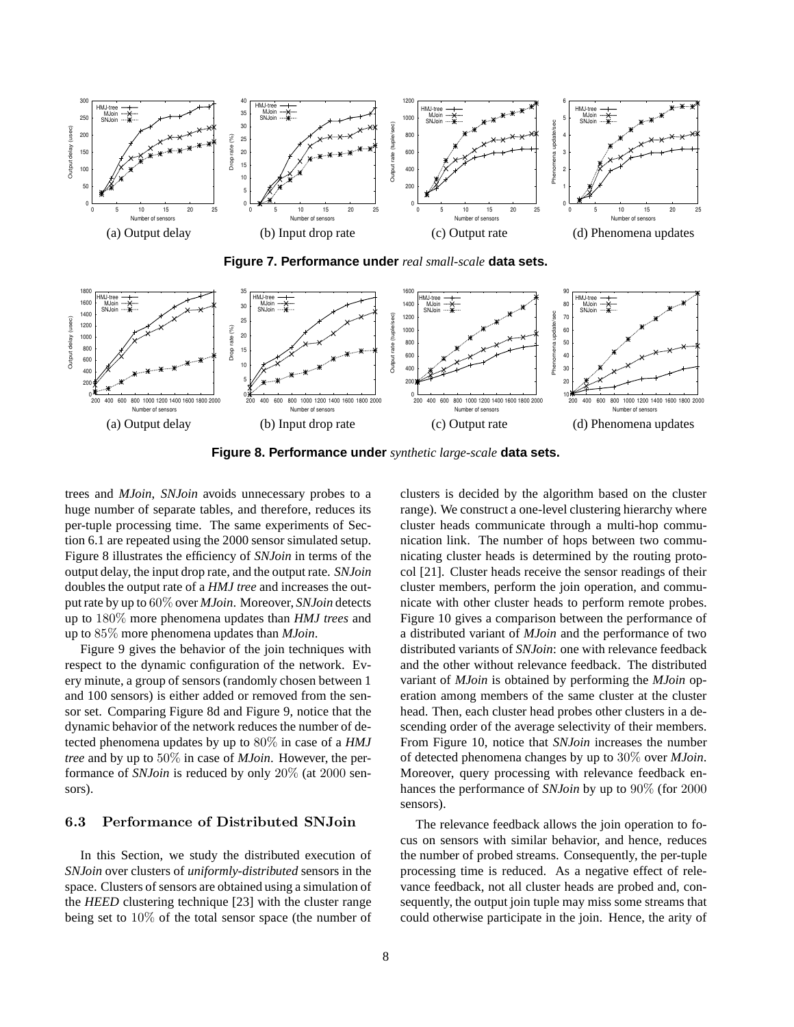

**Figure 7. Performance under** *real small-scale* **data sets.**



**Figure 8. Performance under** *synthetic large-scale* **data sets.**

trees and *MJoin*, *SNJoin* avoids unnecessary probes to a huge number of separate tables, and therefore, reduces its per-tuple processing time. The same experiments of Section 6.1 are repeated using the 2000 sensor simulated setup. Figure 8 illustrates the efficiency of *SNJoin* in terms of the output delay, the input drop rate, and the output rate. *SNJoin* doubles the output rate of a *HMJ tree* and increases the output rate by up to 60% over *MJoin*. Moreover, *SNJoin* detects up to 180% more phenomena updates than *HMJ trees* and up to 85% more phenomena updates than *MJoin*.

Figure 9 gives the behavior of the join techniques with respect to the dynamic configuration of the network. Every minute, a group of sensors (randomly chosen between 1 and 100 sensors) is either added or removed from the sensor set. Comparing Figure 8d and Figure 9, notice that the dynamic behavior of the network reduces the number of detected phenomena updates by up to 80% in case of a *HMJ tree* and by up to 50% in case of *MJoin*. However, the performance of *SNJoin* is reduced by only 20% (at 2000 sensors).

# 6.3 Performance of Distributed SNJoin

In this Section, we study the distributed execution of *SNJoin* over clusters of *uniformly-distributed* sensors in the space. Clusters of sensors are obtained using a simulation of the *HEED* clustering technique [23] with the cluster range being set to 10% of the total sensor space (the number of clusters is decided by the algorithm based on the cluster range). We construct a one-level clustering hierarchy where cluster heads communicate through a multi-hop communication link. The number of hops between two communicating cluster heads is determined by the routing protocol [21]. Cluster heads receive the sensor readings of their cluster members, perform the join operation, and communicate with other cluster heads to perform remote probes. Figure 10 gives a comparison between the performance of a distributed variant of *MJoin* and the performance of two distributed variants of *SNJoin*: one with relevance feedback and the other without relevance feedback. The distributed variant of *MJoin* is obtained by performing the *MJoin* operation among members of the same cluster at the cluster head. Then, each cluster head probes other clusters in a descending order of the average selectivity of their members. From Figure 10, notice that *SNJoin* increases the number of detected phenomena changes by up to 30% over *MJoin*. Moreover, query processing with relevance feedback enhances the performance of *SNJoin* by up to 90% (for 2000 sensors).

The relevance feedback allows the join operation to focus on sensors with similar behavior, and hence, reduces the number of probed streams. Consequently, the per-tuple processing time is reduced. As a negative effect of relevance feedback, not all cluster heads are probed and, consequently, the output join tuple may miss some streams that could otherwise participate in the join. Hence, the arity of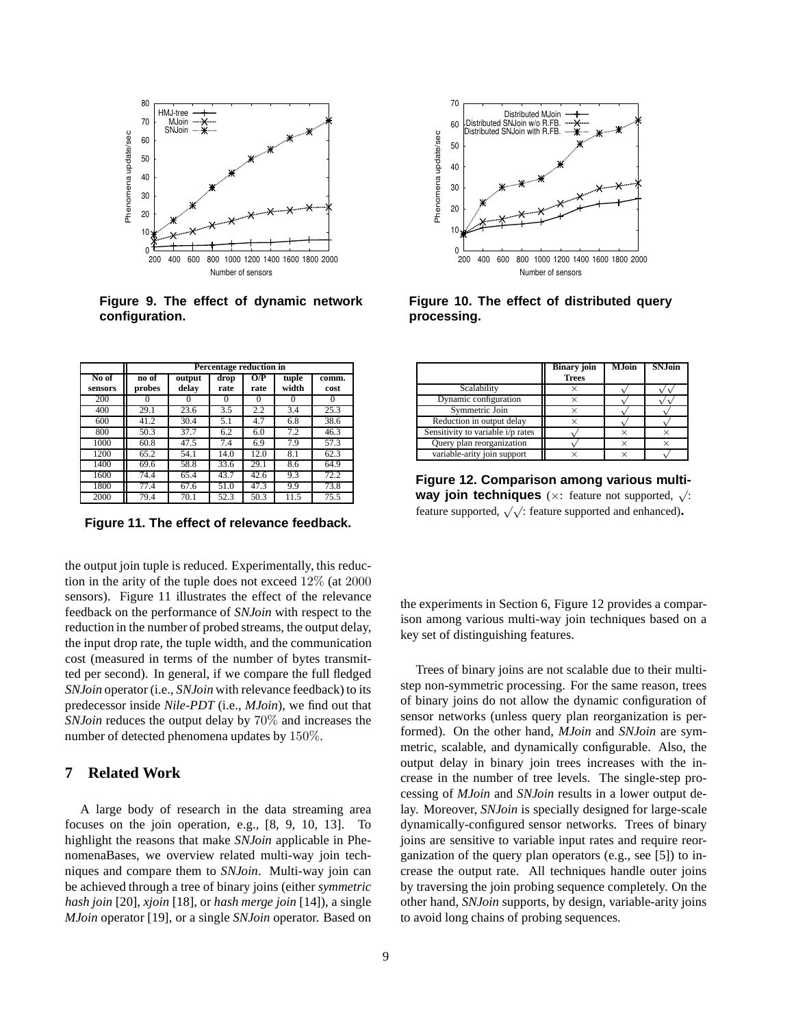

**Figure 9. The effect of dynamic network configuration.**

|                  | Percentage reduction in |                 |              |             |                |               |  |
|------------------|-------------------------|-----------------|--------------|-------------|----------------|---------------|--|
| No of<br>sensors | no of<br>probes         | output<br>delay | drop<br>rate | O/P<br>rate | tuple<br>width | comm.<br>cost |  |
| 200              | $\Omega$                | $^{(+)}$        | $\Omega$     | $\left($    | $\Omega$       | $\Omega$      |  |
| 400              | 29.1                    | 23.6            | 3.5          | 2.2         | 3.4            | 25.3          |  |
| 600              | 41.2                    | 30.4            | 5.1          | 4.7         | 6.8            | 38.6          |  |
| 800              | 50.3                    | 37.7            | 6.2          | 6.0         | 7.2            | 46.3          |  |
| 1000             | 60.8                    | 47.5            | 7.4          | 6.9         | 7.9            | 57.3          |  |
| 1200             | 65.2                    | 54.1            | 14.0         | 12.0        | 8.1            | 62.3          |  |
| 1400             | 69.6                    | 58.8            | 33.6         | 29.1        | 8.6            | 64.9          |  |
| 1600             | 74.4                    | 65.4            | 43.7         | 42.6        | 9.3            | 72.2          |  |
| 1800             | 77.4                    | 67.6            | 51.0         | 47.3        | 9.9            | 73.8          |  |
| 2000             | 79.4                    | 70.1            | 52.3         | 50.3        | 11.5           | 75.5          |  |

**Figure 11. The effect of relevance feedback.**

the output join tuple is reduced. Experimentally, this reduction in the arity of the tuple does not exceed 12% (at 2000 sensors). Figure 11 illustrates the effect of the relevance feedback on the performance of *SNJoin* with respect to the reduction in the number of probed streams, the output delay, the input drop rate, the tuple width, and the communication cost (measured in terms of the number of bytes transmitted per second). In general, if we compare the full fledged *SNJoin* operator (i.e., *SNJoin* with relevance feedback) to its predecessor inside *Nile-PDT* (i.e., *MJoin*), we find out that *SNJoin* reduces the output delay by 70% and increases the number of detected phenomena updates by 150%.

# **7 Related Work**

A large body of research in the data streaming area focuses on the join operation, e.g., [8, 9, 10, 13]. To highlight the reasons that make *SNJoin* applicable in PhenomenaBases, we overview related multi-way join techniques and compare them to *SNJoin*. Multi-way join can be achieved through a tree of binary joins (either *symmetric hash join* [20], *xjoin* [18], or *hash merge join* [14]), a single *MJoin* operator [19], or a single *SNJoin* operator. Based on



**Figure 10. The effect of distributed query processing.**

|                                   | <b>Binary join</b><br><b>Trees</b> | <b>MJoin</b> | <b>SNJoin</b> |
|-----------------------------------|------------------------------------|--------------|---------------|
| Scalability                       |                                    |              |               |
| Dynamic configuration             |                                    |              |               |
| Symmetric Join                    |                                    |              |               |
| Reduction in output delay         |                                    |              |               |
| Sensitivity to variable i/p rates |                                    |              |               |
| Query plan reorganization         |                                    |              |               |
| variable-arity join support       |                                    |              |               |

**Figure 12. Comparison among various multiway join techniques** (x: feature not supported,  $\sqrt{2}$ : feature supported, √√: feature supported and enhanced)**.**

the experiments in Section 6, Figure 12 provides a comparison among various multi-way join techniques based on a key set of distinguishing features.

Trees of binary joins are not scalable due to their multistep non-symmetric processing. For the same reason, trees of binary joins do not allow the dynamic configuration of sensor networks (unless query plan reorganization is performed). On the other hand, *MJoin* and *SNJoin* are symmetric, scalable, and dynamically configurable. Also, the output delay in binary join trees increases with the increase in the number of tree levels. The single-step processing of *MJoin* and *SNJoin* results in a lower output delay. Moreover, *SNJoin* is specially designed for large-scale dynamically-configured sensor networks. Trees of binary joins are sensitive to variable input rates and require reorganization of the query plan operators (e.g., see [5]) to increase the output rate. All techniques handle outer joins by traversing the join probing sequence completely. On the other hand, *SNJoin* supports, by design, variable-arity joins to avoid long chains of probing sequences.